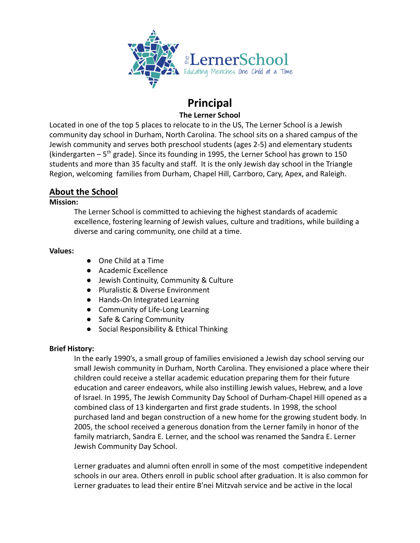

## **Principal The Lerner School**

Located in one of the top 5 places to relocate to in the US, The Lerner School is a Jewish community day school in Durham, North Carolina. The school sits on a shared campus of the Jewish community and serves both preschool students (ages 2-5) and elementary students (kindergarten  $-5$ <sup>th</sup> grade). Since its founding in 1995, the Lerner School has grown to 150 students and more than 35 faculty and staff. It is the only Jewish day school in the Triangle Region, welcoming families from Durham, Chapel Hill, Carrboro, Cary, Apex, and Raleigh.

## **About the School**

#### **Mission:**

The Lerner School is committed to achieving the highest standards of academic excellence, fostering learning of Jewish values, culture and traditions, while building a diverse and caring community, one child at a time.

#### **Values:**

- One Child at a Time
- Academic Excellence
- Jewish Continuity, Community & Culture
- Pluralistic & Diverse Environment
- Hands-On Integrated Learning
- Community of Life-Long Learning
- Safe & Caring Community
- Social Responsibility & Ethical Thinking

## **Brief History:**

In the early 1990's, a small group of families envisioned a Jewish day school serving our small Jewish community in Durham, North Carolina. They envisioned a place where their children could receive a stellar academic education preparing them for their future education and career endeavors, while also instilling Jewish values, Hebrew, and a love of Israel. In 1995, The Jewish Community Day School of Durham-Chapel Hill opened as a combined class of 13 kindergarten and first grade students. In 1998, the school purchased land and began construction of a new home for the growing student body. In 2005, the school received a generous donation from the Lerner family in honor of the family matriarch, Sandra E. Lerner, and the school was renamed the Sandra E. Lerner Jewish Community Day School.

Lerner graduates and alumni often enroll in some of the most competitive independent schools in our area. Others enroll in public school after graduation. It is also common for Lerner graduates to lead their entire B'nei Mitzvah service and be active in the local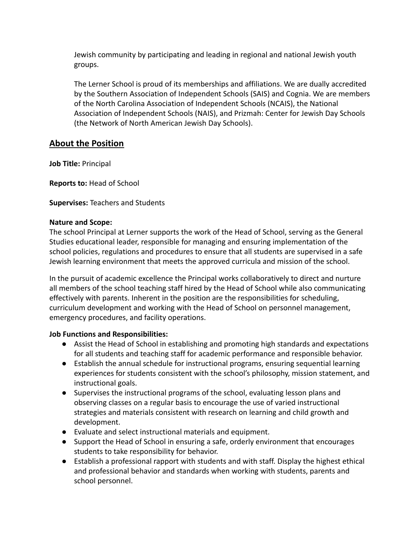Jewish community by participating and leading in regional and national Jewish youth groups.

The Lerner School is proud of its memberships and affiliations. We are dually accredited by the Southern Association of Independent Schools (SAIS) and Cognia. We are members of the North Carolina Association of Independent Schools (NCAIS), the National Association of Independent Schools (NAIS), and Prizmah: Center for Jewish Day Schools (the Network of North American Jewish Day Schools).

# **About the Position**

**Job Title:** Principal

**Reports to:** Head of School

## **Supervises:** Teachers and Students

#### **Nature and Scope:**

The school Principal at Lerner supports the work of the Head of School, serving as the General Studies educational leader, responsible for managing and ensuring implementation of the school policies, regulations and procedures to ensure that all students are supervised in a safe Jewish learning environment that meets the approved curricula and mission of the school.

In the pursuit of academic excellence the Principal works collaboratively to direct and nurture all members of the school teaching staff hired by the Head of School while also communicating effectively with parents. Inherent in the position are the responsibilities for scheduling, curriculum development and working with the Head of School on personnel management, emergency procedures, and facility operations.

## **Job Functions and Responsibilities:**

- Assist the Head of School in establishing and promoting high standards and expectations for all students and teaching staff for academic performance and responsible behavior.
- Establish the annual schedule for instructional programs, ensuring sequential learning experiences for students consistent with the school's philosophy, mission statement, and instructional goals.
- Supervises the instructional programs of the school, evaluating lesson plans and observing classes on a regular basis to encourage the use of varied instructional strategies and materials consistent with research on learning and child growth and development.
- Evaluate and select instructional materials and equipment.
- Support the Head of School in ensuring a safe, orderly environment that encourages students to take responsibility for behavior.
- Establish a professional rapport with students and with staff. Display the highest ethical and professional behavior and standards when working with students, parents and school personnel.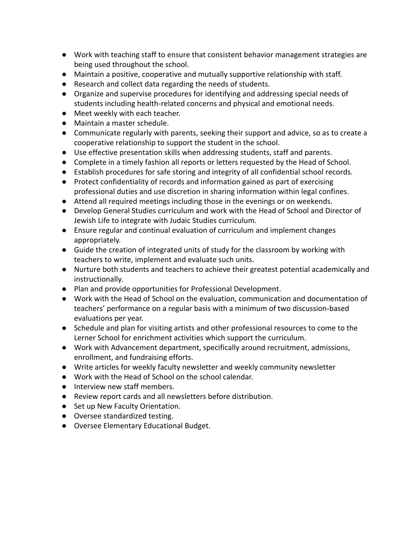- Work with teaching staff to ensure that consistent behavior management strategies are being used throughout the school.
- Maintain a positive, cooperative and mutually supportive relationship with staff.
- Research and collect data regarding the needs of students.
- Organize and supervise procedures for identifying and addressing special needs of students including health-related concerns and physical and emotional needs.
- Meet weekly with each teacher.
- Maintain a master schedule.
- Communicate regularly with parents, seeking their support and advice, so as to create a cooperative relationship to support the student in the school.
- Use effective presentation skills when addressing students, staff and parents.
- Complete in a timely fashion all reports or letters requested by the Head of School.
- Establish procedures for safe storing and integrity of all confidential school records.
- Protect confidentiality of records and information gained as part of exercising professional duties and use discretion in sharing information within legal confines.
- Attend all required meetings including those in the evenings or on weekends.
- Develop General Studies curriculum and work with the Head of School and Director of Jewish Life to integrate with Judaic Studies curriculum.
- Ensure regular and continual evaluation of curriculum and implement changes appropriately.
- Guide the creation of integrated units of study for the classroom by working with teachers to write, implement and evaluate such units.
- Nurture both students and teachers to achieve their greatest potential academically and instructionally.
- Plan and provide opportunities for Professional Development.
- Work with the Head of School on the evaluation, communication and documentation of teachers' performance on a regular basis with a minimum of two discussion-based evaluations per year.
- Schedule and plan for visiting artists and other professional resources to come to the Lerner School for enrichment activities which support the curriculum.
- Work with Advancement department, specifically around recruitment, admissions, enrollment, and fundraising efforts.
- Write articles for weekly faculty newsletter and weekly community newsletter
- Work with the Head of School on the school calendar.
- Interview new staff members.
- Review report cards and all newsletters before distribution.
- Set up New Faculty Orientation.
- Oversee standardized testing.
- Oversee Elementary Educational Budget.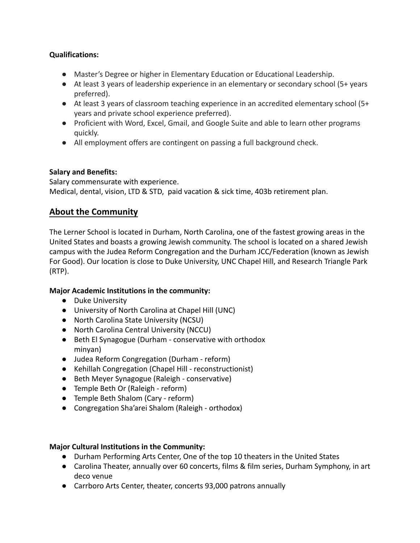## **Qualifications:**

- **●** Master's Degree or higher in Elementary Education or Educational Leadership.
- **●** At least 3 years of leadership experience in an elementary or secondary school (5+ years preferred).
- **●** At least 3 years of classroom teaching experience in an accredited elementary school (5+ years and private school experience preferred).
- **●** Proficient with Word, Excel, Gmail, and Google Suite and able to learn other programs quickly.
- **●** All employment offers are contingent on passing a full background check.

## **Salary and Benefits:**

Salary commensurate with experience. Medical, dental, vision, LTD & STD, paid vacation & sick time, 403b retirement plan.

# **About the Community**

The Lerner School is located in Durham, North Carolina, one of the fastest growing areas in the United States and boasts a growing Jewish community. The school is located on a shared Jewish campus with the Judea Reform Congregation and the Durham JCC/Federation (known as Jewish For Good). Our location is close to Duke University, UNC Chapel Hill, and Research Triangle Park (RTP).

## **Major Academic Institutions in the community:**

- Duke University
- University of North Carolina at Chapel Hill (UNC)
- North Carolina State University (NCSU)
- North Carolina Central University (NCCU)
- Beth El Synagogue (Durham conservative with orthodox minyan)
- Judea Reform Congregation (Durham reform)
- Kehillah Congregation (Chapel Hill reconstructionist)
- Beth Meyer Synagogue (Raleigh conservative)
- Temple Beth Or (Raleigh reform)
- Temple Beth Shalom (Cary reform)
- Congregation Sha'arei Shalom (Raleigh orthodox)

## **Major Cultural Institutions in the Community:**

- Durham Performing Arts Center, One of the top 10 theaters in the United States
- Carolina Theater, annually over 60 concerts, films & film series, Durham Symphony, in art deco venue
- Carrboro Arts Center, theater, concerts 93,000 patrons annually